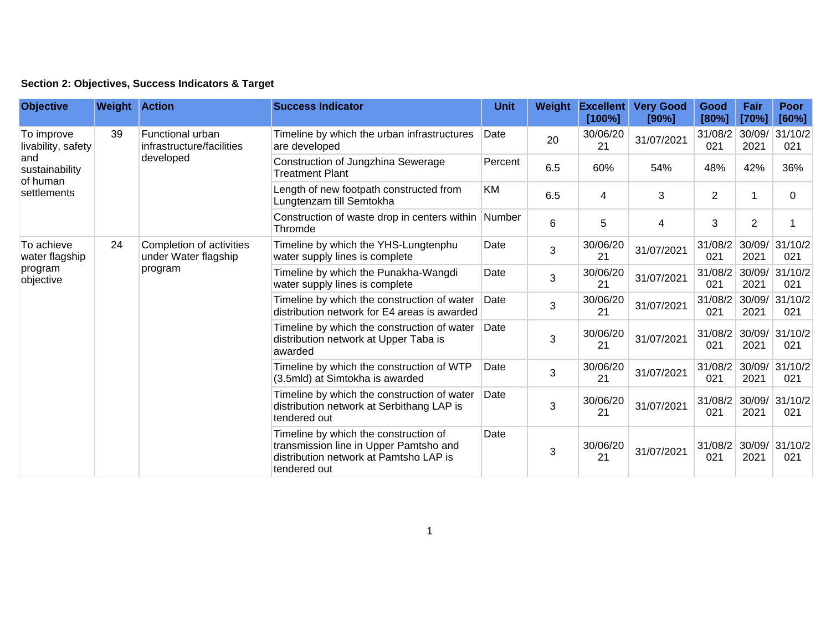|  | Section 2: Objectives, Success Indicators & Target |  |  |  |  |
|--|----------------------------------------------------|--|--|--|--|
|--|----------------------------------------------------|--|--|--|--|

| <b>Objective</b>                                                                     | <b>Weight Action</b> |                                                             | <b>Success Indicator</b>                                                                                                                  | <b>Unit</b> | Weight | <b>Excellent</b><br>[100%] | <b>Very Good</b><br>[90%] | Good<br>[80%]  | Fair<br>[70%]  | <b>Poor</b><br>[60%] |
|--------------------------------------------------------------------------------------|----------------------|-------------------------------------------------------------|-------------------------------------------------------------------------------------------------------------------------------------------|-------------|--------|----------------------------|---------------------------|----------------|----------------|----------------------|
| To improve<br>livability, safety<br>and<br>sustainability<br>of human<br>settlements | 39                   | Functional urban<br>infrastructure/facilities<br>developed  | Timeline by which the urban infrastructures<br>are developed                                                                              | Date        | 20     | 30/06/20<br>21             | 31/07/2021                | 31/08/2<br>021 | 30/09/<br>2021 | 31/10/2<br>021       |
|                                                                                      |                      |                                                             | Construction of Jungzhina Sewerage<br><b>Treatment Plant</b>                                                                              | Percent     | 6.5    | 60%                        | 54%                       | 48%            | 42%            | 36%                  |
|                                                                                      |                      |                                                             | Length of new footpath constructed from<br>Lungtenzam till Semtokha                                                                       | KM          | 6.5    | 4                          | 3                         | $\overline{2}$ |                | $\Omega$             |
|                                                                                      |                      |                                                             | Construction of waste drop in centers within<br>Thromde                                                                                   | Number      | 6      | 5                          | 4                         | 3              | $\overline{2}$ |                      |
| To achieve<br>water flagship<br>program<br>objective                                 | 24                   | Completion of activities<br>under Water flagship<br>program | Timeline by which the YHS-Lungtenphu<br>water supply lines is complete                                                                    | Date        | 3      | 30/06/20<br>21             | 31/07/2021                | 31/08/2<br>021 | 30/09/<br>2021 | 31/10/2<br>021       |
|                                                                                      |                      |                                                             | Timeline by which the Punakha-Wangdi<br>water supply lines is complete                                                                    | Date        | 3      | 30/06/20<br>21             | 31/07/2021                | 31/08/2<br>021 | 30/09/<br>2021 | 31/10/2<br>021       |
|                                                                                      |                      |                                                             | Timeline by which the construction of water<br>distribution network for E4 areas is awarded                                               | Date        | 3      | 30/06/20<br>21             | 31/07/2021                | 31/08/2<br>021 | 30/09/<br>2021 | 31/10/2<br>021       |
|                                                                                      |                      |                                                             | Timeline by which the construction of water<br>distribution network at Upper Taba is<br>awarded                                           | Date        | 3      | 30/06/20<br>21             | 31/07/2021                | 31/08/2<br>021 | 30/09/<br>2021 | 31/10/2<br>021       |
|                                                                                      |                      |                                                             | Timeline by which the construction of WTP<br>(3.5mld) at Simtokha is awarded                                                              | Date        | 3      | 30/06/20<br>21             | 31/07/2021                | 31/08/2<br>021 | 30/09/<br>2021 | 31/10/2<br>021       |
|                                                                                      |                      |                                                             | Timeline by which the construction of water<br>distribution network at Serbithang LAP is<br>tendered out                                  | Date        | 3      | 30/06/20<br>21             | 31/07/2021                | 31/08/2<br>021 | 30/09/<br>2021 | 31/10/2<br>021       |
|                                                                                      |                      |                                                             | Timeline by which the construction of<br>transmission line in Upper Pamtsho and<br>distribution network at Pamtsho LAP is<br>tendered out | Date        | 3      | 30/06/20<br>21             | 31/07/2021                | 31/08/2<br>021 | 30/09/<br>2021 | 31/10/2<br>021       |